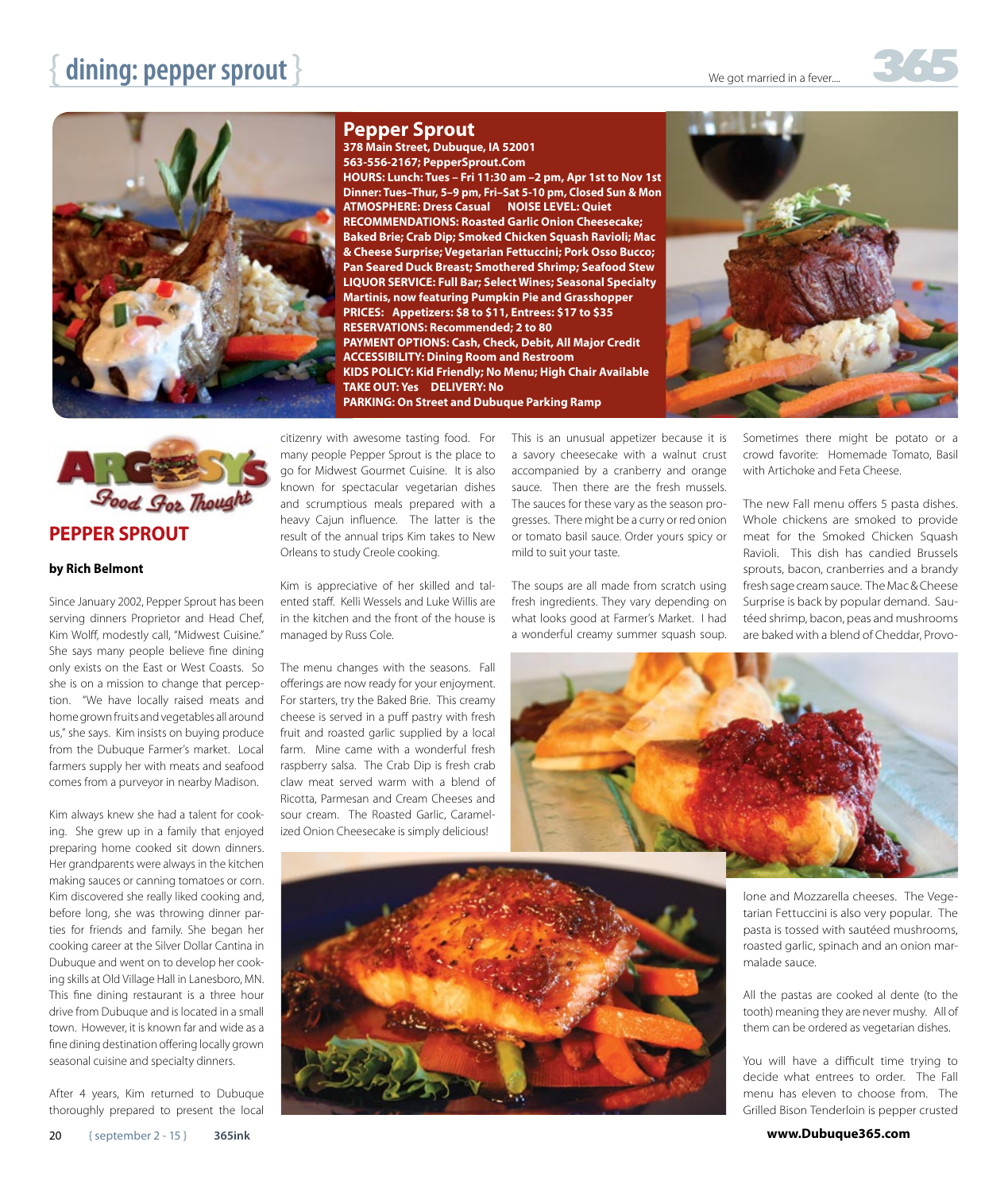## **dining: pepper sprout**  $}$



## **Pepper Sprout**

**378 Main Street, Dubuque, IA 52001 563-556-2167; PepperSprout.Com HOURS: Lunch: Tues – Fri 11:30 am –2 pm, Apr 1st to Nov 1st Dinner: Tues–Thur, 5–9 pm, Fri–Sat 5-10 pm, Closed Sun & Mon ATMOSPHERE: Dress Casual NOISE LEVEL: Quiet RECOMMENDATIONS: Roasted Garlic Onion Cheesecake; Baked Brie; Crab Dip; Smoked Chicken Squash Ravioli; Mac & Cheese Surprise; Vegetarian Fettuccini; Pork Osso Bucco; Pan Seared Duck Breast; Smothered Shrimp; Seafood Stew LIQUOR SERVICE: Full Bar; Select Wines; Seasonal Specialty Martinis, now featuring Pumpkin Pie and Grasshopper PRICES: Appetizers: \$8 to \$11, Entrees: \$17 to \$35 RESERVATIONS: Recommended; 2 to 80 PAYMENT OPTIONS: Cash, Check, Debit, All Major Credit ACCESSIBILITY: Dining Room and Restroom KIDS POLICY: Kid Friendly; No Menu; High Chair Available TAKE OUT: Yes DELIVERY: No PARKING: On Street and Dubuque Parking Ramp**





## **by Rich Belmont**

Since January 2002, Pepper Sprout has been serving dinners Proprietor and Head Chef, Kim Wolff, modestly call, "Midwest Cuisine." She says many people believe fine dining only exists on the East or West Coasts. So she is on a mission to change that perception. "We have locally raised meats and home grown fruits and vegetables all around us," she says. Kim insists on buying produce from the Dubuque Farmer's market. Local farmers supply her with meats and seafood comes from a purveyor in nearby Madison.

Kim always knew she had a talent for cooking. She grew up in a family that enjoyed preparing home cooked sit down dinners. Her grandparents were always in the kitchen making sauces or canning tomatoes or corn. Kim discovered she really liked cooking and, before long, she was throwing dinner parties for friends and family. She began her cooking career at the Silver Dollar Cantina in Dubuque and went on to develop her cooking skills at Old Village Hall in Lanesboro, MN. This fine dining restaurant is a three hour drive from Dubuque and is located in a small town. However, it is known far and wide as a fine dining destination offering locally grown seasonal cuisine and specialty dinners.

After 4 years, Kim returned to Dubuque thoroughly prepared to present the local citizenry with awesome tasting food. For many people Pepper Sprout is the place to go for Midwest Gourmet Cuisine. It is also known for spectacular vegetarian dishes and scrumptious meals prepared with a heavy Cajun influence. The latter is the result of the annual trips Kim takes to New Orleans to study Creole cooking.

Kim is appreciative of her skilled and talented staff. Kelli Wessels and Luke Willis are in the kitchen and the front of the house is managed by Russ Cole.

The menu changes with the seasons. Fall offerings are now ready for your enjoyment. For starters, try the Baked Brie. This creamy cheese is served in a puff pastry with fresh fruit and roasted garlic supplied by a local farm. Mine came with a wonderful fresh raspberry salsa. The Crab Dip is fresh crab claw meat served warm with a blend of Ricotta, Parmesan and Cream Cheeses and sour cream. The Roasted Garlic, Caramelized Onion Cheesecake is simply delicious!

This is an unusual appetizer because it is a savory cheesecake with a walnut crust accompanied by a cranberry and orange sauce. Then there are the fresh mussels. The sauces for these vary as the season progresses. There might be a curry or red onion or tomato basil sauce. Order yours spicy or mild to suit your taste.

The soups are all made from scratch using fresh ingredients. They vary depending on what looks good at Farmer's Market. I had a wonderful creamy summer squash soup.

Sometimes there might be potato or a crowd favorite: Homemade Tomato, Basil with Artichoke and Feta Cheese.

The new Fall menu offers 5 pasta dishes. Whole chickens are smoked to provide meat for the Smoked Chicken Squash Ravioli. This dish has candied Brussels sprouts, bacon, cranberries and a brandy fresh sage cream sauce. The Mac & Cheese Surprise is back by popular demand. Sautéed shrimp, bacon, peas and mushrooms are baked with a blend of Cheddar, Provo-





lone and Mozzarella cheeses. The Vegetarian Fettuccini is also very popular. The pasta is tossed with sautéed mushrooms, roasted garlic, spinach and an onion marmalade sauce.

All the pastas are cooked al dente (to the tooth) meaning they are never mushy. All of them can be ordered as vegetarian dishes.

You will have a difficult time trying to decide what entrees to order. The Fall menu has eleven to choose from. The Grilled Bison Tenderloin is pepper crusted